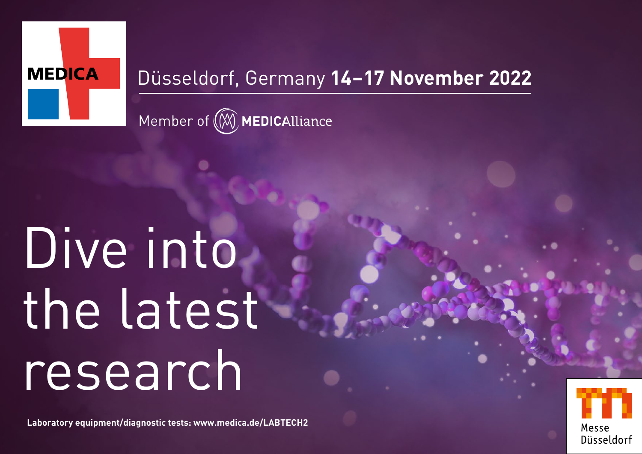

### Düsseldorf, Germany **14–17 November 2022**

Member of (W) MEDICAlliance

## Dive into the latest research

**Laboratory equipment/diagnostic tests: [www.medica.de/LABTECH2](http://www.medica.de/LABTECH2)**

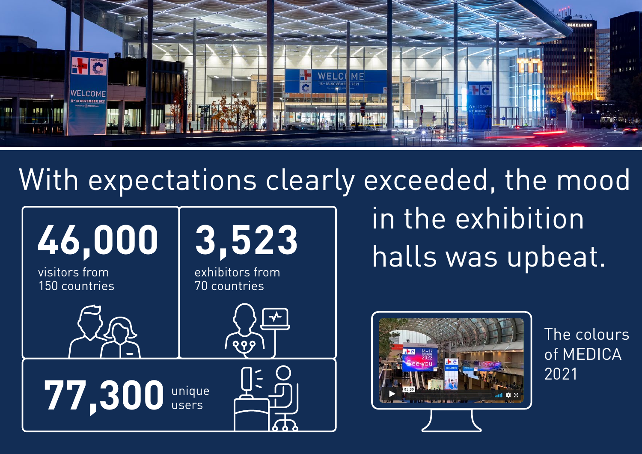

## With expectations clearly exceeded, the mood



in the exhibition



The colours of MEDICA 2021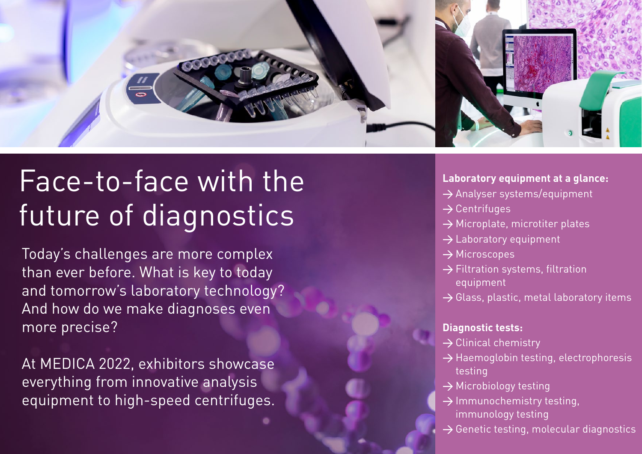

## Face-to-face with the future of diagnostics

Today's challenges are more complex than ever before. What is key to today and tomorrow's laboratory technology? And how do we make diagnoses even more precise?

At MEDICA 2022, exhibitors showcase everything from innovative analysis equipment to high-speed centrifuges.

#### **Laboratory equipment at a glance:**

- $\rightarrow$  Analyser systems/equipment
- $\rightarrow$  Centrifuges
- $\rightarrow$  Microplate, microtiter plates
- $\rightarrow$  Laboratory equipment
- → Microscopes
- $\rightarrow$  Filtration systems, filtration equipment
- $\rightarrow$  Glass, plastic, metal laboratory items

#### **Diagnostic tests:**

- $\rightarrow$  Clinical chemistry
- $\rightarrow$  Haemoglobin testing, electrophoresis testing
- $\rightarrow$  Microbiology testing
- → Immunochemistry testing, immunology testing
- $\rightarrow$  Genetic testing, molecular diagnostics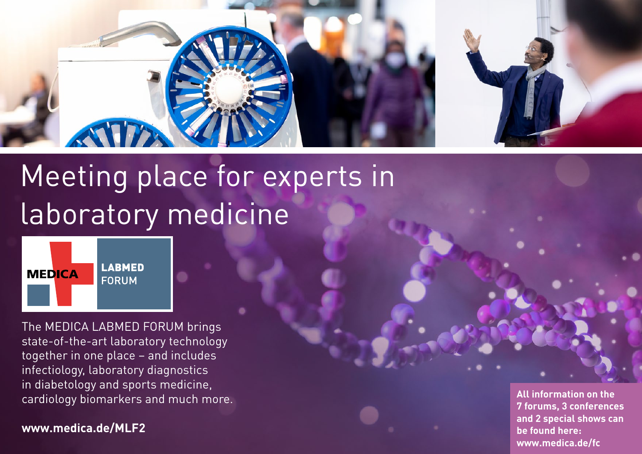

## Meeting place for experts in laboratory medicine



The MEDICA LABMED FORUM brings state-of-the-art laboratory technology together in one place – and includes infectiology, laboratory diagnostics in diabetology and sports medicine, cardiology biomarkers and much more.

**[www.medica.de/MLF2](http://www.medica.de/MLF2)**

**All information on the 7 forums, 3 conferences and 2 special shows can be found here: [www.medica.de/fc](http://www.medica.de/fc)**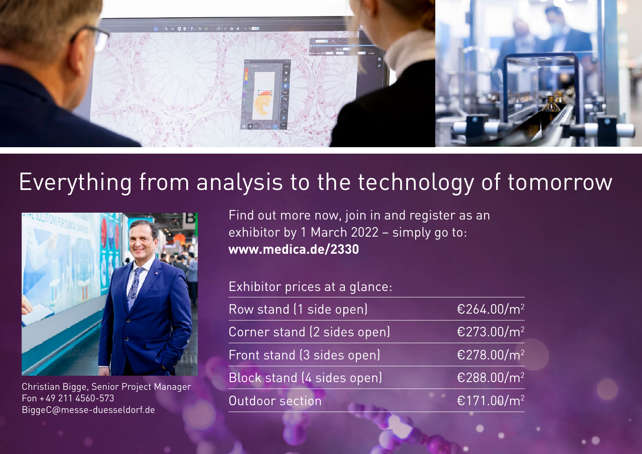

## Everything from analysis to the technology of tomorrow



Christian Bigge, Senior Project Manager Fon +49 211 4560-573 [BiggeC@messe-duesseldorf.de](mailto:BiggeC%40messe-duesseldorf.de?subject=)

Find out more now, join in and register as an exhibitor by 1 March 2022 – simply go to: **[www.medica.de/2330](http://www.medica.de/2330)**

Exhibitor prices at a glance: Row stand (1 side open)  $E264.00/m^2$ Corner stand (2 sides open)  $E273.00/m^2$ Front stand (3 sides open)  $E278.00/m^2$ Block stand (4 sides open) €288.00/m<sup>2</sup>

Outdoor section **€171.00/m**<sup>2</sup>